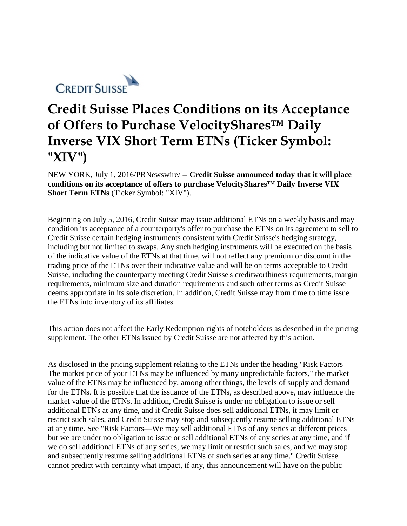

## **Credit Suisse Places Conditions on its Acceptance of Offers to Purchase VelocityShares™ Daily Inverse VIX Short Term ETNs (Ticker Symbol: "XIV")**

NEW YORK, July 1, 2016/PRNewswire/ -- **Credit Suisse announced today that it will place conditions on its acceptance of offers to purchase VelocityShares™ Daily Inverse VIX Short Term ETNs** (Ticker Symbol: "XIV").

Beginning on July 5, 2016, Credit Suisse may issue additional ETNs on a weekly basis and may condition its acceptance of a counterparty's offer to purchase the ETNs on its agreement to sell to Credit Suisse certain hedging instruments consistent with Credit Suisse's hedging strategy, including but not limited to swaps. Any such hedging instruments will be executed on the basis of the indicative value of the ETNs at that time, will not reflect any premium or discount in the trading price of the ETNs over their indicative value and will be on terms acceptable to Credit Suisse, including the counterparty meeting Credit Suisse's creditworthiness requirements, margin requirements, minimum size and duration requirements and such other terms as Credit Suisse deems appropriate in its sole discretion. In addition, Credit Suisse may from time to time issue the ETNs into inventory of its affiliates.

This action does not affect the Early Redemption rights of noteholders as described in the pricing supplement. The other ETNs issued by Credit Suisse are not affected by this action.

As disclosed in the pricing supplement relating to the ETNs under the heading "Risk Factors— The market price of your ETNs may be influenced by many unpredictable factors," the market value of the ETNs may be influenced by, among other things, the levels of supply and demand for the ETNs. It is possible that the issuance of the ETNs, as described above, may influence the market value of the ETNs. In addition, Credit Suisse is under no obligation to issue or sell additional ETNs at any time, and if Credit Suisse does sell additional ETNs, it may limit or restrict such sales, and Credit Suisse may stop and subsequently resume selling additional ETNs at any time. See "Risk Factors—We may sell additional ETNs of any series at different prices but we are under no obligation to issue or sell additional ETNs of any series at any time, and if we do sell additional ETNs of any series, we may limit or restrict such sales, and we may stop and subsequently resume selling additional ETNs of such series at any time." Credit Suisse cannot predict with certainty what impact, if any, this announcement will have on the public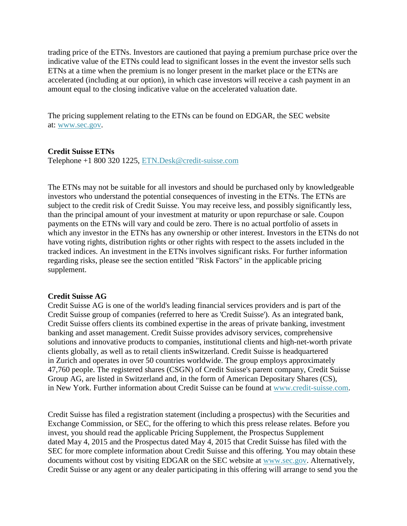trading price of the ETNs. Investors are cautioned that paying a premium purchase price over the indicative value of the ETNs could lead to significant losses in the event the investor sells such ETNs at a time when the premium is no longer present in the market place or the ETNs are accelerated (including at our option), in which case investors will receive a cash payment in an amount equal to the closing indicative value on the accelerated valuation date.

The pricing supplement relating to the ETNs can be found on EDGAR, the SEC website at: [www.sec.gov.](javascript:void(0))

## **Credit Suisse ETNs**

Telephone +1 800 320 1225, [ETN.Desk@credit-suisse.com](javascript:void(0))

The ETNs may not be suitable for all investors and should be purchased only by knowledgeable investors who understand the potential consequences of investing in the ETNs. The ETNs are subject to the credit risk of Credit Suisse. You may receive less, and possibly significantly less, than the principal amount of your investment at maturity or upon repurchase or sale. Coupon payments on the ETNs will vary and could be zero. There is no actual portfolio of assets in which any investor in the ETNs has any ownership or other interest. Investors in the ETNs do not have voting rights, distribution rights or other rights with respect to the assets included in the tracked indices. An investment in the ETNs involves significant risks. For further information regarding risks, please see the section entitled "Risk Factors" in the applicable pricing supplement.

## **Credit Suisse AG**

Credit Suisse AG is one of the world's leading financial services providers and is part of the Credit Suisse group of companies (referred to here as 'Credit Suisse'). As an integrated bank, Credit Suisse offers clients its combined expertise in the areas of private banking, investment banking and asset management. Credit Suisse provides advisory services, comprehensive solutions and innovative products to companies, institutional clients and high-net-worth private clients globally, as well as to retail clients inSwitzerland. Credit Suisse is headquartered in Zurich and operates in over 50 countries worldwide. The group employs approximately 47,760 people. The registered shares (CSGN) of Credit Suisse's parent company, Credit Suisse Group AG, are listed in Switzerland and, in the form of American Depositary Shares (CS), in New York. Further information about Credit Suisse can be found at [www.credit-suisse.com.](javascript:void(0))

Credit Suisse has filed a registration statement (including a prospectus) with the Securities and Exchange Commission, or SEC, for the offering to which this press release relates. Before you invest, you should read the applicable Pricing Supplement, the Prospectus Supplement dated May 4, 2015 and the Prospectus dated May 4, 2015 that Credit Suisse has filed with the SEC for more complete information about Credit Suisse and this offering. You may obtain these documents without cost by visiting EDGAR on the SEC website at [www.sec.gov.](javascript:void(0)) Alternatively, Credit Suisse or any agent or any dealer participating in this offering will arrange to send you the